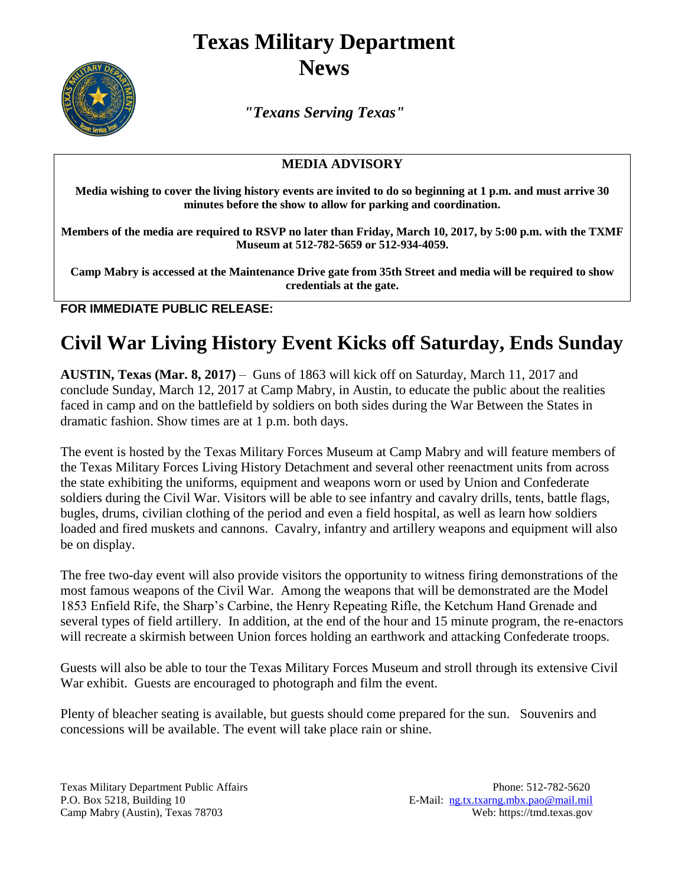## **Texas Military Department News**



*"Texans Serving Texas"*

## **MEDIA ADVISORY**

**Media wishing to cover the living history events are invited to do so beginning at 1 p.m. and must arrive 30 minutes before the show to allow for parking and coordination.** 

**Members of the media are required to RSVP no later than Friday, March 10, 2017, by 5:00 p.m. with the TXMF Museum at 512-782-5659 or 512-934-4059.**

**Camp Mabry is accessed at the Maintenance Drive gate from 35th Street and media will be required to show credentials at the gate.**

**FOR IMMEDIATE PUBLIC RELEASE:**

## **Civil War Living History Event Kicks off Saturday, Ends Sunday**

**AUSTIN, Texas (Mar. 8, 2017)** – Guns of 1863 will kick off on Saturday, March 11, 2017 and conclude Sunday, March 12, 2017 at Camp Mabry, in Austin, to educate the public about the realities faced in camp and on the battlefield by soldiers on both sides during the War Between the States in dramatic fashion. Show times are at 1 p.m. both days.

The event is hosted by the Texas Military Forces Museum at Camp Mabry and will feature members of the Texas Military Forces Living History Detachment and several other reenactment units from across the state exhibiting the uniforms, equipment and weapons worn or used by Union and Confederate soldiers during the Civil War. Visitors will be able to see infantry and cavalry drills, tents, battle flags, bugles, drums, civilian clothing of the period and even a field hospital, as well as learn how soldiers loaded and fired muskets and cannons. Cavalry, infantry and artillery weapons and equipment will also be on display.

The free two-day event will also provide visitors the opportunity to witness firing demonstrations of the most famous weapons of the Civil War. Among the weapons that will be demonstrated are the Model 1853 Enfield Rife, the Sharp's Carbine, the Henry Repeating Rifle, the Ketchum Hand Grenade and several types of field artillery. In addition, at the end of the hour and 15 minute program, the re-enactors will recreate a skirmish between Union forces holding an earthwork and attacking Confederate troops.

Guests will also be able to tour the Texas Military Forces Museum and stroll through its extensive Civil War exhibit. Guests are encouraged to photograph and film the event.

Plenty of bleacher seating is available, but guests should come prepared for the sun. Souvenirs and concessions will be available. The event will take place rain or shine.